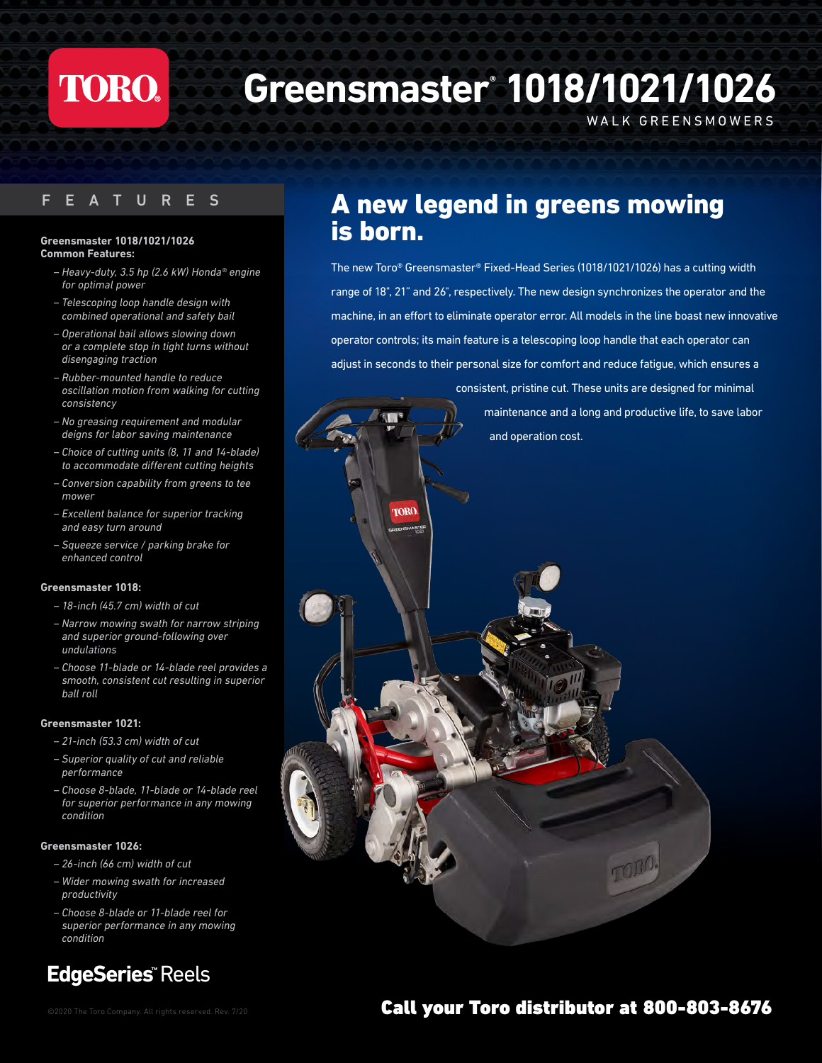# **TORO.**

# **Greensmaster® 1018/1021/1026**

WALK GREENSMOWERS

### F E A TURES

#### **Greensmaster 1018/1021/1026 Common Features:**

- *Heavy-duty, 3.5 hp (2.6 kW) Honda® engine for optimal power*
- *– Telescoping loop handle design with combined operational and safety bail*
- *– Operational bail allows slowing down or a complete stop in tight turns without disengaging traction*
- *Rubber-mounted handle to reduce oscillation motion from walking for cutting consistency*
- *– No greasing requirement and modular deigns for labor saving maintenance*
- *Choice of cutting units (8, 11 and 14-blade) to accommodate different cutting heights*
- *Conversion capability from greens to tee mower*
- *Excellent balance for superior tracking and easy turn around*
- *Squeeze service / parking brake for enhanced control*

### **Greensmaster 1018:**

- *18-inch (45.7 cm) width of cut*
- *Narrow mowing swath for narrow striping and superior ground-following over undulations*
- *– Choose 11-blade or 14-blade reel provides a smooth, consistent cut resulting in superior ball roll*

### **Greensmaster 1021:**

- *21-inch (53.3 cm) width of cut*
- *Superior quality of cut and reliable performance*
- *– Choose 8-blade, 11-blade or 14-blade reel for superior performance in any mowing condition*

### **Greensmaster 1026:**

- *26-inch (66 cm) width of cut*
- *Wider mowing swath for increased productivity*
- *– Choose 8-blade or 11-blade reel for superior performance in any mowing condition*

### **EdgeSeries™** Reels

### A new legend in greens mowing is born.

The new Toro® Greensmaster® Fixed-Head Series (1018/1021/1026) has a cutting width range of 18", 21" and 26", respectively. The new design synchronizes the operator and the machine, in an effort to eliminate operator error. All models in the line boast new innovative operator controls; its main feature is a telescoping loop handle that each operator can adjust in seconds to their personal size for comfort and reduce fatigue, which ensures a

consistent, pristine cut. These units are designed for minimal maintenance and a long and productive life, to save labor and operation cost. **TORO** 

### ©2020 The Toro Company. All rights reserved. Rev. 7/20 Call your Toro distributor at 800-803-8676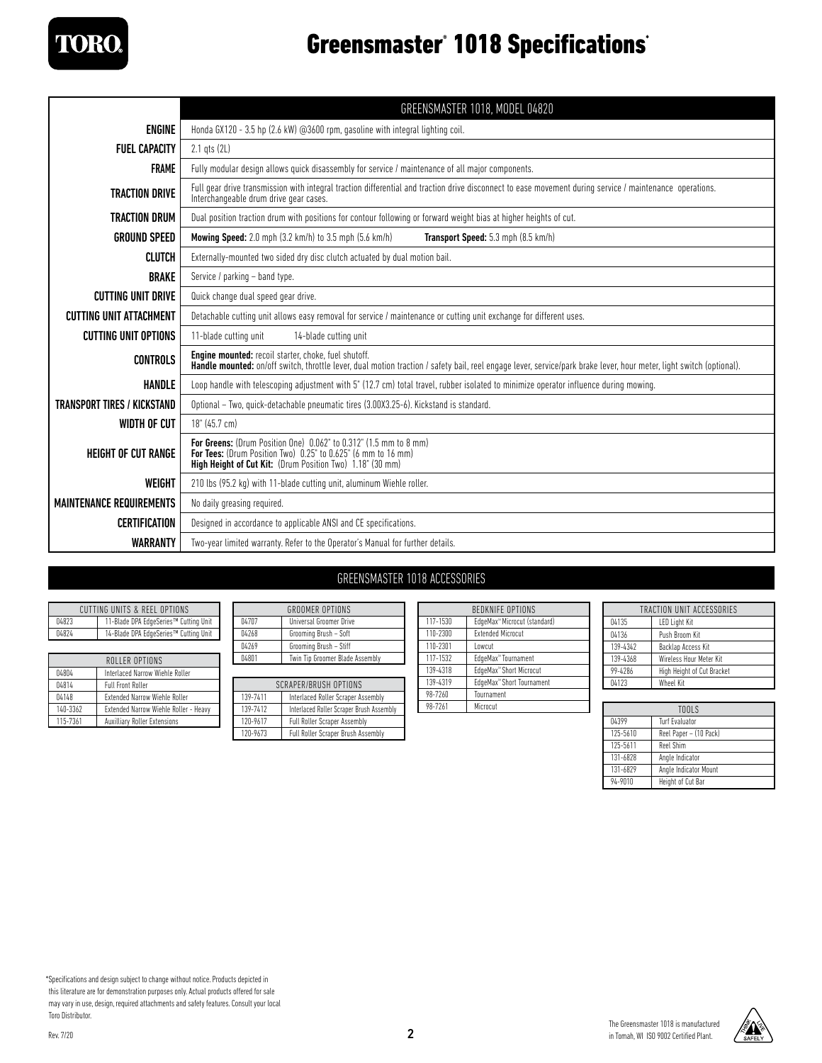

# Greensmaster<sup>®</sup> 1018 Specifications<sup>®</sup>

|                                    | GREENSMASTER 1018, MODEL 04820                                                                                                                                                                                                      |
|------------------------------------|-------------------------------------------------------------------------------------------------------------------------------------------------------------------------------------------------------------------------------------|
| <b>ENGINE</b>                      | Honda GX120 - 3.5 hp (2.6 kW) @3600 rpm, gasoline with integral lighting coil.                                                                                                                                                      |
| <b>FUEL CAPACITY</b>               | 2.1 qts (2L)                                                                                                                                                                                                                        |
| <b>FRAME</b>                       | Fully modular design allows quick disassembly for service / maintenance of all major components.                                                                                                                                    |
| <b>TRACTION DRIVE</b>              | Full gear drive transmission with integral traction differential and traction drive disconnect to ease movement during service / maintenance operations.<br>Interchangeable drum drive gear cases.                                  |
| <b>TRACTION DRUM</b>               | Dual position traction drum with positions for contour following or forward weight bias at higher heights of cut.                                                                                                                   |
| <b>GROUND SPEED</b>                | <b>Mowing Speed:</b> 2.0 mph (3.2 km/h) to 3.5 mph (5.6 km/h)<br>Transport Speed: 5.3 mph (8.5 km/h)                                                                                                                                |
| <b>CLUTCH</b>                      | Externally-mounted two sided dry disc clutch actuated by dual motion bail.                                                                                                                                                          |
| <b>BRAKE</b>                       | Service / parking - band type.                                                                                                                                                                                                      |
| <b>CUTTING UNIT DRIVE</b>          | Quick change dual speed gear drive.                                                                                                                                                                                                 |
| <b>CUTTING UNIT ATTACHMENT</b>     | Detachable cutting unit allows easy removal for service / maintenance or cutting unit exchange for different uses.                                                                                                                  |
| <b>CUTTING UNIT OPTIONS</b>        | 11-blade cutting unit<br>14-blade cutting unit                                                                                                                                                                                      |
| <b>CONTROLS</b>                    | <b>Engine mounted:</b> recoil starter, choke, fuel shutoff.<br>Handle mounted: on/off switch, throttle lever, dual motion traction / safety bail, reel engage lever, service/park brake lever, hour meter, light switch (optional). |
| HANDLE                             | Loop handle with telescoping adjustment with 5" (12.7 cm) total travel, rubber isolated to minimize operator influence during mowing.                                                                                               |
| <b>TRANSPORT TIRES / KICKSTAND</b> | Optional - Two, quick-detachable pneumatic tires (3.00X3.25-6). Kickstand is standard.                                                                                                                                              |
| WIDTH OF CUT                       | 18" (45.7 cm)                                                                                                                                                                                                                       |
| <b>HEIGHT OF CUT RANGE</b>         | For Greens: (Drum Position One) 0.062" to 0.312" (1.5 mm to 8 mm)<br>For Tees: (Drum Position Two) 0.25" to 0.625" (6 mm to 16 mm)<br>High Height of Cut Kit: (Drum Position Two) 1.18" (30 mm)                                     |
| WEIGHT                             | 210 lbs (95.2 kg) with 11-blade cutting unit, aluminum Wiehle roller.                                                                                                                                                               |
| <b>MAINTENANCE REQUIREMENTS</b>    | No daily greasing required.                                                                                                                                                                                                         |
| <b>CERTIFICATION</b>               | Designed in accordance to applicable ANSI and CE specifications.                                                                                                                                                                    |
| <b>WARRANTY</b>                    | Two-year limited warranty. Refer to the Operator's Manual for further details.                                                                                                                                                      |

### GREENSMASTER 1018 ACCESSORIES

| CUTTING UNITS & REFL OPTIONS |                                       |
|------------------------------|---------------------------------------|
| 04823                        | 11-Blade DPA EdgeSeries™ Cutting Unit |
| 04824                        | 14-Blade DPA EdgeSeries™ Cutting Unit |

| ROLLER OPTIONS |                                       |
|----------------|---------------------------------------|
| 04804          | Interlaced Narrow Wiehle Roller       |
| 04814          | <b>Full Front Roller</b>              |
| 04148          | <b>Extended Narrow Wiehle Roller</b>  |
| 140-3362       | Extended Narrow Wiehle Roller - Heavy |
| 115-7361       | <b>Auxilliary Roller Extensions</b>   |

| <b>GROOMER OPTIONS</b>       |                                 |  |
|------------------------------|---------------------------------|--|
| 04707                        | Universal Groomer Drive         |  |
| 04268                        | Grooming Brush - Soft           |  |
| 04269                        | Grooming Brush - Stiff          |  |
| 04801                        | Twin Tip Groomer Blade Assembly |  |
|                              |                                 |  |
| <b>SCRAPER/BRUSH OPTIONS</b> |                                 |  |

| SCRAPER/BRUSH OPTIONS |                                           |  |
|-----------------------|-------------------------------------------|--|
| 139-7411              | Interlaced Roller Scraper Assembly        |  |
| 139-7412              | Interlaced Roller Scraper Brush Assembly  |  |
| 120-9617              | <b>Full Roller Scraper Assembly</b>       |  |
| 120-9673              | <b>Full Roller Scraper Brush Assembly</b> |  |

| <b>BEDKNIFE OPTIONS</b> |                                          |  |
|-------------------------|------------------------------------------|--|
| 117-1530                | EdgeMax <sup>™</sup> Microcut (standard) |  |
| 110-2300                | <b>Extended Microcut</b>                 |  |
| 110-2301                | I owcut                                  |  |
| 117-1532                | EdgeMax <sup>™</sup> Tournament          |  |
| 139-4318                | EdgeMax <sup>™</sup> Short Microcut      |  |
| 139-4319                | EdgeMax <sup>™</sup> Short Tournament    |  |
| 98-7260                 | Tournament                               |  |
| 98-7261                 | Microcut                                 |  |

| TRACTION UNIT ACCESSORIES |                            |  |
|---------------------------|----------------------------|--|
| 04135                     | <b>LED Light Kit</b>       |  |
| 04136                     | Push Broom Kit             |  |
| 139-4342                  | Backlap Access Kit         |  |
| 139-4368                  | Wireless Hour Meter Kit    |  |
| 99-4286                   | High Height of Cut Bracket |  |
| 04123                     | <b>Wheel Kit</b>           |  |

|          | TOOLS                  |
|----------|------------------------|
| 04399    | <b>Turf Evaluator</b>  |
| 125-5610 | Reel Paper - (10 Pack) |
| 125-5611 | Reel Shim              |
| 131-6828 | Angle Indicator        |
| 131-6829 | Angle Indicator Mount  |
| 94-9010  | Height of Cut Bar      |

\*Specifications and design subject to change without notice. Products depicted in this literature are for demonstration purposes only. Actual products offered for sale

may vary in use, design, required attachments and safety features. Consult your local Toro Distributor.

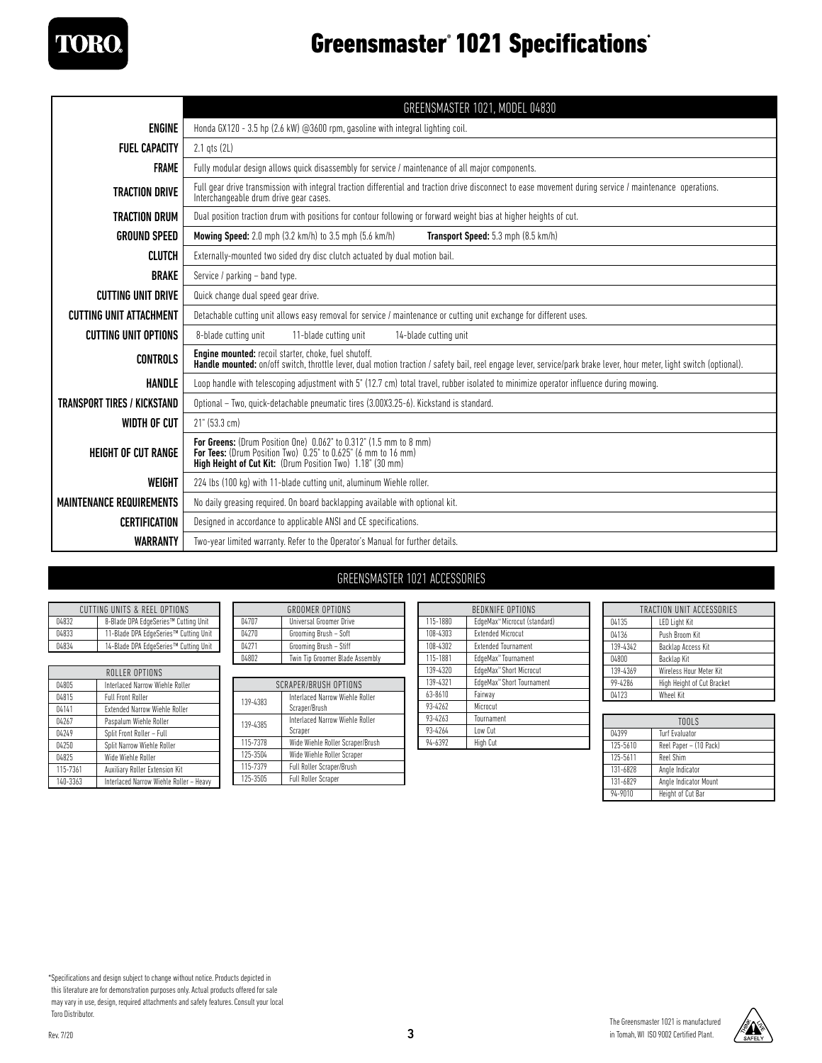

# Greensmaster<sup>®</sup> 1021 Specifications<sup>®</sup>

|                                    | GREENSMASTER 1021, MODEL 04830                                                                                                                                                                                                      |
|------------------------------------|-------------------------------------------------------------------------------------------------------------------------------------------------------------------------------------------------------------------------------------|
| <b>ENGINE</b>                      | Honda GX120 - 3.5 hp (2.6 kW) @3600 rpm, gasoline with integral lighting coil.                                                                                                                                                      |
| <b>FUEL CAPACITY</b>               | 2.1 qts (2L)                                                                                                                                                                                                                        |
| <b>FRAME</b>                       | Fully modular design allows quick disassembly for service / maintenance of all major components.                                                                                                                                    |
| <b>TRACTION DRIVE</b>              | Full gear drive transmission with integral traction differential and traction drive disconnect to ease movement during service / maintenance operations.<br>Interchangeable drum drive gear cases.                                  |
| <b>TRACTION DRUM</b>               | Dual position traction drum with positions for contour following or forward weight bias at higher heights of cut.                                                                                                                   |
| <b>GROUND SPEED</b>                | <b>Mowing Speed:</b> 2.0 mph (3.2 km/h) to 3.5 mph (5.6 km/h)<br>Transport Speed: 5.3 mph (8.5 km/h)                                                                                                                                |
| <b>CLUTCH</b>                      | Externally-mounted two sided dry disc clutch actuated by dual motion bail.                                                                                                                                                          |
| <b>BRAKE</b>                       | Service / parking - band type.                                                                                                                                                                                                      |
| <b>CUTTING UNIT DRIVE</b>          | Quick change dual speed gear drive.                                                                                                                                                                                                 |
| <b>CUTTING UNIT ATTACHMENT</b>     | Detachable cutting unit allows easy removal for service / maintenance or cutting unit exchange for different uses.                                                                                                                  |
| <b>CUTTING UNIT OPTIONS</b>        | 8-blade cutting unit<br>11-blade cutting unit<br>14-blade cutting unit                                                                                                                                                              |
| <b>CONTROLS</b>                    | <b>Engine mounted:</b> recoil starter, choke, fuel shutoff.<br>Handle mounted: on/off switch, throttle lever, dual motion traction / safety bail, reel engage lever, service/park brake lever, hour meter, light switch (optional). |
| <b>HANDLE</b>                      | Loop handle with telescoping adjustment with 5" (12.7 cm) total travel, rubber isolated to minimize operator influence during mowing.                                                                                               |
| <b>TRANSPORT TIRES / KICKSTAND</b> | Optional - Two, quick-detachable pneumatic tires (3.00X3.25-6). Kickstand is standard.                                                                                                                                              |
| WIDTH OF CUT                       | $21"$ (53.3 cm)                                                                                                                                                                                                                     |
| <b>HEIGHT OF CUT RANGE</b>         | For Greens: (Drum Position One) 0.062" to 0.312" (1.5 mm to 8 mm)<br><b>For Tees:</b> (Drum Position Two) 0.25" to 0.625" (6 mm to 16 mm)<br>High Height of Cut Kit: (Drum Position Two) 1.18" (30 mm)                              |
| WEIGHT                             | 224 lbs (100 kg) with 11-blade cutting unit, aluminum Wiehle roller.                                                                                                                                                                |
| <b>MAINTENANCE REQUIREMENTS</b>    | No daily greasing required. On board backlapping available with optional kit.                                                                                                                                                       |
| CERTIFICATION                      | Designed in accordance to applicable ANSI and CE specifications.                                                                                                                                                                    |
| <b>WARRANTY</b>                    | Two-year limited warranty. Refer to the Operator's Manual for further details.                                                                                                                                                      |

### GREENSMASTER 1021 ACCESSORIES

| CUTTING UNITS & REEL OPTIONS |                                       |
|------------------------------|---------------------------------------|
| 04832                        | 8-Blade DPA EdgeSeries™ Cutting Unit  |
| 04833                        | 11-Blade DPA EdgeSeries™ Cutting Unit |
| 04834                        | 14-Blade DPA EdgeSeries™ Cutting Unit |

| ROLLER OPTIONS |                                         |
|----------------|-----------------------------------------|
| 04805          | Interlaced Narrow Wiehle Roller         |
| 04815          | <b>Full Front Roller</b>                |
| 04141          | <b>Extended Narrow Wiehle Roller</b>    |
| 04267          | Paspalum Wiehle Roller                  |
| 04249          | Split Front Roller - Full               |
| 04250          | Split Narrow Wiehle Roller              |
| 04825          | Wide Wiehle Roller                      |
| 115-7361       | Auxiliary Roller Extension Kit          |
| 140-3363       | Interlaced Narrow Wiehle Roller - Heavy |

| <b>GROOMER OPTIONS</b> |                                 |
|------------------------|---------------------------------|
| 04707                  | Universal Groomer Drive         |
| 04270                  | Grooming Brush - Soft           |
| 04271                  | Grooming Brush - Stiff          |
| 04802                  | Twin Tip Groomer Blade Assembly |
|                        |                                 |
| SCRAPER/BRUSH OPTIONS  |                                 |

| SLKAPER/BRUSH UPTIUNS |                                  |  |
|-----------------------|----------------------------------|--|
| 139-4383              | Interlaced Narrow Wiehle Roller  |  |
|                       | Scraper/Brush                    |  |
| 139-4385              | Interlaced Narrow Wiehle Roller  |  |
|                       | Scraper                          |  |
| 115-7378              | Wide Wiehle Roller Scraper/Brush |  |
| 125-3504              | Wide Wiehle Roller Scraper       |  |
| 115-7379              | Full Roller Scraper/Brush        |  |
| 125-3505              | <b>Full Roller Scraper</b>       |  |

| <b>BEDKNIFF OPTIONS</b> |                                          |
|-------------------------|------------------------------------------|
| 115-1880                | EdgeMax <sup>™</sup> Microcut (standard) |
| 108-4303                | <b>Extended Microcut</b>                 |
| 108-4302                | <b>Extended Tournament</b>               |
| 115-1881                | EdgeMax <sup>™</sup> Tournament          |
| 139-4320                | EdgeMax <sup>™</sup> Short Microcut      |
| 139-4321                | EdgeMax <sup>™</sup> Short Tournament    |
| 63-8610                 | Fairway                                  |
| 93-4262                 | Microcut                                 |
| 93-4263                 | Tournament                               |
| 93-4264                 | Low Cut                                  |
| 94-6392                 | High Cut                                 |
|                         |                                          |

| TRACTION UNIT ACCESSORIES  |  |
|----------------------------|--|
| <b>LED Light Kit</b>       |  |
| Push Broom Kit             |  |
| Backlap Access Kit         |  |
| Backlap Kit                |  |
| Wireless Hour Meter Kit    |  |
| High Height of Cut Bracket |  |
| <b>Wheel Kit</b>           |  |
|                            |  |

| TOOLS    |                        |
|----------|------------------------|
| 04399    | <b>Turf Evaluator</b>  |
| 125-5610 | Reel Paper - (10 Pack) |
| 125-5611 | Reel Shim              |
| 131-6828 | Angle Indicator        |
| 131-6829 | Angle Indicator Mount  |
| 94-9010  | Height of Cut Bar      |

\*Specifications and design subject to change without notice. Products depicted in

this literature are for demonstration purposes only. Actual products offered for sale may vary in use, design, required attachments and safety features. Consult your local Toro Distributor.